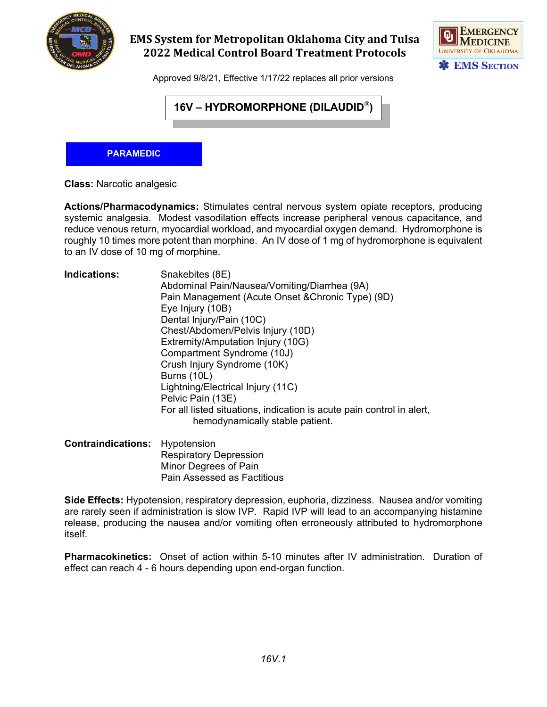

## **EMS System for Metropolitan Oklahoma City and Tulsa 2022 Medical Control Board Treatment Protocols**



Approved 9/8/21, Effective 1/17/22 replaces all prior versions

## **16V – HYDROMORPHONE (DILAUDID®)**

## **PARAMEDIC**

**Class:** Narcotic analgesic

**Actions/Pharmacodynamics:** Stimulates central nervous system opiate receptors, producing systemic analgesia. Modest vasodilation effects increase peripheral venous capacitance, and reduce venous return, myocardial workload, and myocardial oxygen demand. Hydromorphone is roughly 10 times more potent than morphine. An IV dose of 1 mg of hydromorphone is equivalent to an IV dose of 10 mg of morphine.

| <b>Indications:</b> | Snakebites (8E)                                                                                          |
|---------------------|----------------------------------------------------------------------------------------------------------|
|                     | Abdominal Pain/Nausea/Vomiting/Diarrhea (9A)                                                             |
|                     | Pain Management (Acute Onset & Chronic Type) (9D)                                                        |
|                     | Eye Injury (10B)                                                                                         |
|                     | Dental Injury/Pain (10C)                                                                                 |
|                     | Chest/Abdomen/Pelvis Injury (10D)                                                                        |
|                     | Extremity/Amputation Injury (10G)                                                                        |
|                     | Compartment Syndrome (10J)                                                                               |
|                     | Crush Injury Syndrome (10K)                                                                              |
|                     | Burns (10L)                                                                                              |
|                     | Lightning/Electrical Injury (11C)                                                                        |
|                     | Pelvic Pain (13E)                                                                                        |
|                     | For all listed situations, indication is acute pain control in alert,<br>hemodynamically stable patient. |
|                     |                                                                                                          |

| <b>Contraindications:</b> Hypotension |                                    |
|---------------------------------------|------------------------------------|
|                                       | <b>Respiratory Depression</b>      |
|                                       | Minor Degrees of Pain              |
|                                       | <b>Pain Assessed as Factitious</b> |

**Side Effects:** Hypotension, respiratory depression, euphoria, dizziness. Nausea and/or vomiting are rarely seen if administration is slow IVP. Rapid IVP will lead to an accompanying histamine release, producing the nausea and/or vomiting often erroneously attributed to hydromorphone itself.

**Pharmacokinetics:** Onset of action within 5-10 minutes after IV administration. Duration of effect can reach 4 - 6 hours depending upon end-organ function.